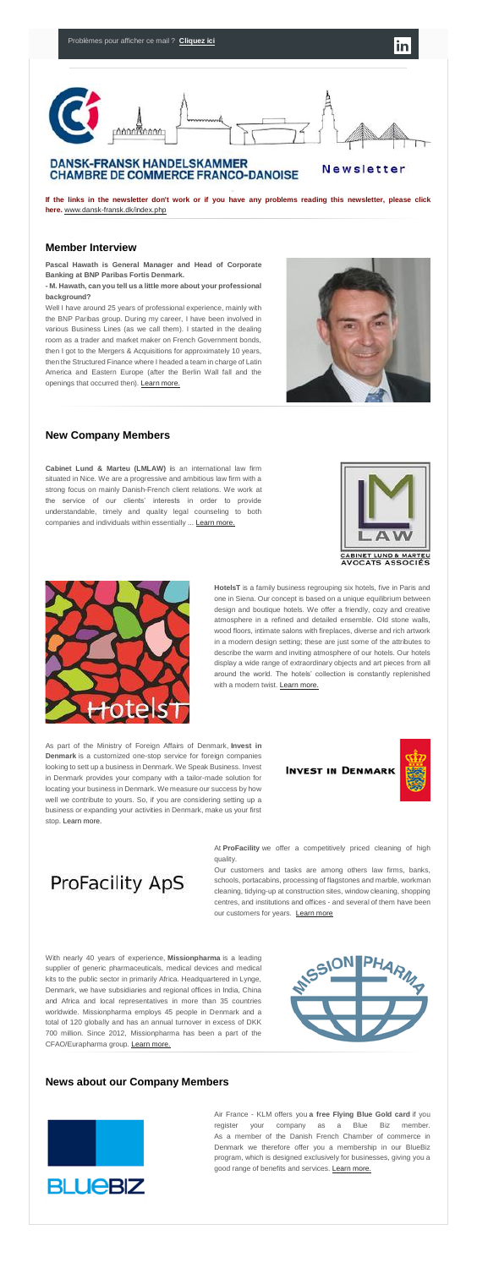

### **DANSK-FRANSK HANDELSKAMMER CHAMBRE DE COMMERCE FRANCO-DANOISE**

Newsletter

**If the links in the newsletter don't work or if you have any problems reading this newsletter, please click here.** [www.dansk-fransk.dk/index.php](http://www.dansk-fransk.dk/index.php?id=34465)

#### **Member Interview**

**Pascal Hawath is General Manager and Head of Corporate Banking at BNP Paribas Fortis Denmark.**

**- M. Hawath, can you tell us a little more about your professional background?**

Well I have around 25 years of professional experience, mainly with the BNP Paribas group. During my career, I have been involved in various Business Lines (as we call them). I started in the dealing room as a trader and market maker on French Government bonds, then I got to the Mergers & Acquisitions for approximately 10 years, then the Structured Finance where I headed a team in charge of Latin America and Eastern Europe (after the Berlin Wall fall and the openings that occurred then). [Learn more.](http://www.dansk-fransk.dk/index.php?id=8583)



## **New Company Members**

#### As part of the Ministry of Foreign Affairs of Denmark, **Invest in Denmark** is a customized one-stop service for foreign companies looking to sett up a business in Denmark. We Speak Business. Invest in Denmark provides your company with a tailor-made solution for locating your business in Denmark. We measure our success by how well we contribute to yours. So, if you are considering setting up a business or expanding your activities in Denmark, make us your first stop. [Learn more.](http://www.dansk-fransk.dk/index.php?id=8586)

### **INVEST IN DENMARK**



**Cabinet Lund & Marteu (LMLAW) i**s an international law firm situated in Nice. We are a progressive and ambitious law firm with a strong focus on mainly Danish-French client relations. We work at the service of our clients' interests in order to provide understandable, timely and quality legal counseling to both companies and individuals within essentially ... [Learn more.](http://www.dansk-fransk.dk/index.php?id=8588)





**ProFacility ApS** 

Our customers and tasks are among others law firms, banks, schools, portacabins, processing of flagstones and marble, workman cleaning, tidying-up at construction sites, window cleaning, shopping centres, and institutions and offices - and several of them have been our customers for years. [Learn more](http://www.dansk-fransk.dk/index.php?id=8582)

**HotelsT** is a family business regrouping six hotels, five in Paris and one in Siena. Our concept is based on a unique equilibrium between design and boutique hotels. We offer a friendly, cozy and creative atmosphere in a refined and detailed ensemble. Old stone walls, wood floors, intimate salons with fireplaces, diverse and rich artwork in a modern design setting; these are just some of the attributes to describe the warm and inviting atmosphere of our hotels. Our hotels display a wide range of extraordinary objects and art pieces from all around the world. The hotels' collection is constantly replenished with a modern twist. [Learn more.](http://www.dansk-fransk.dk/index.php?id=8581)

Air France - KLM offers you **a free Flying Blue Gold card** if you register your company as a Blue Biz member. As a member of the Danish French Chamber of commerce in Denmark we therefore offer you a membership in our BlueBiz program, which is designed exclusively for businesses, giving you a good range of benefits and services. [Learn more.](http://admin.uccife.org/fileadmin/template/danemark/docs/Newsletter_Octobre_2014/French_Danish_Chamber_of_Commerce_offer_SEP14.pdf)

At **ProFacility** we offer a competitively priced cleaning of high quality.

With nearly 40 years of experience, **Missionpharma** is a leading supplier of generic pharmaceuticals, medical devices and medical kits to the public sector in primarily Africa. Headquartered in Lynge, Denmark, we have subsidiaries and regional offices in India, China and Africa and local representatives in more than 35 countries worldwide. Missionpharma employs 45 people in Denmark and a total of 120 globally and has an annual turnover in excess of DKK 700 million. Since 2012, Missionpharma has been a part of the CFAO/Eurapharma group. [Learn more.](http://www.missionpharma.com/)



#### **News about our Company Members**

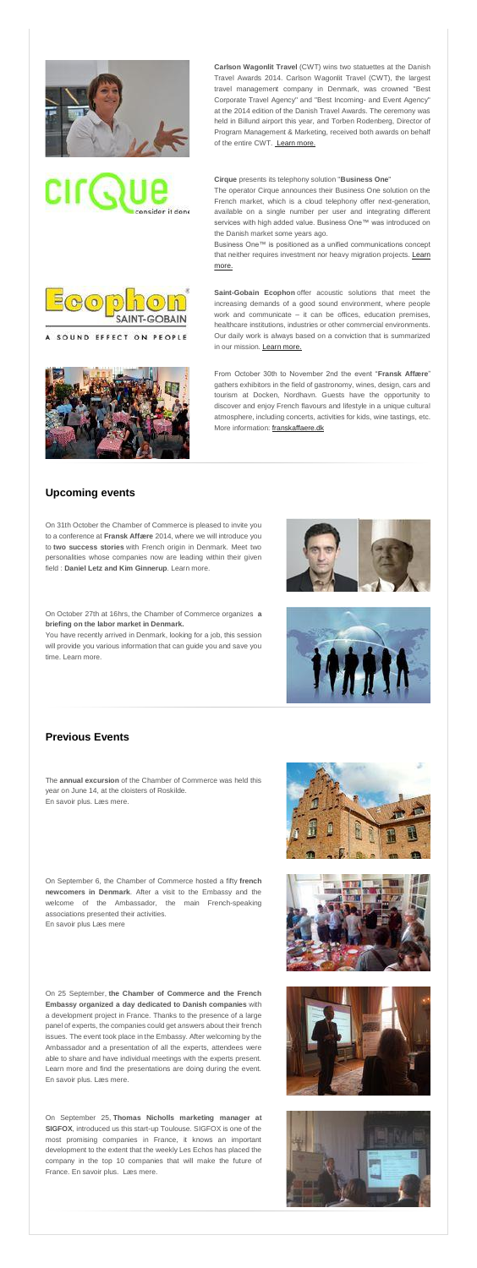

CIL(

**Carlson Wagonlit Travel** (CWT) wins two statuettes at the Danish Travel Awards 2014. Carlson Wagonlit Travel (CWT), the largest travel management company in Denmark, was crowned "Best Corporate Travel Agency" and "Best Incoming- and Event Agency" at the 2014 edition of the Danish Travel Awards. The ceremony was held in Billund airport this year, and Torben Rodenberg, Director of Program Management & Marketing, received both awards on behalf of the entire CWT. [Learn more.](http://www.dansk-fransk.dk/index.php?id=8584)

#### **Cirque** presents its telephony solution "**Business One**"



#### SOUND EFFECT ON PEOPLE



The operator Cirque announces their Business One solution on the French market, which is a cloud telephony offer next-generation, available on a single number per user and integrating different services with high added value. Business One™ was introduced on the Danish market some years ago.

Business One™ is positioned as a unified communications concept that neither requires investment nor heavy migration projects. Learn [more.](http://www.dansk-fransk.dk/index.php?id=8585)

**Saint-Gobain Ecophon** offer acoustic solutions that meet the increasing demands of a good sound environment, where people work and communicate – it can be offices, education premises, healthcare institutions, industries or other commercial environments. Our daily work is always based on a conviction that is summarized in our mission. [Learn more.](http://www.dansk-fransk.dk/index.php?id=8587)

From October 30th to November 2nd the event "**Fransk Affære**" gathers exhibitors in the field of gastronomy, wines, design, cars and tourism at Docken, Nordhavn. Guests have the opportunity to discover and enjoy French flavours and lifestyle in a unique cultural atmosphere, including concerts, activities for kids, wine tastings, etc. More information: [franskaffaere.dk](http://franskaffaere.dk/)

#### **Upcoming events**

On 31th October the Chamber of Commerce is pleased to invite you to a conference at **Fransk Affære** 2014, where we will introduce you to **two success stories** with French origin in Denmark. Meet two personalities whose companies now are leading within their given field : **Daniel Letz and Kim Ginnerup**. Learn more.

On October 27th at 16hrs, the Chamber of Commerce organizes **a briefing on the labor market in Denmark.**

You have recently arrived in Denmark, looking for a job, this session will provide you various information that can guide you and save you time. Learn more.





### **Previous Events**

The **annual excursion** of the Chamber of Commerce was held this year on June 14, at the cloisters of Roskilde. En savoir plus. Læs mere.

On September 6, the Chamber of Commerce hosted a fifty **french newcomers in Denmark**. After a visit to the Embassy and the welcome of the Ambassador, the main French-speaking associations presented their activities. En savoir plus Læs mere

On 25 September, **the Chamber of Commerce and the French Embassy organized a day dedicated to Danish companies** with a development project in France. Thanks to the presence of a large panel of experts, the companies could get answers about their french issues. The event took place in the Embassy. After welcoming by the Ambassador and a presentation of all the experts, attendees were able to share and have individual meetings with the experts present. Learn more and find the presentations are doing during the event. En savoir plus. Læs mere.

On September 25, **Thomas Nicholls marketing manager at SIGFOX**, introduced us this start-up Toulouse. SIGFOX is one of the most promising companies in France, it knows an important development to the extent that the weekly Les Echos has placed the company in the top 10 companies that will make the future of France. En savoir plus. Læs mere.